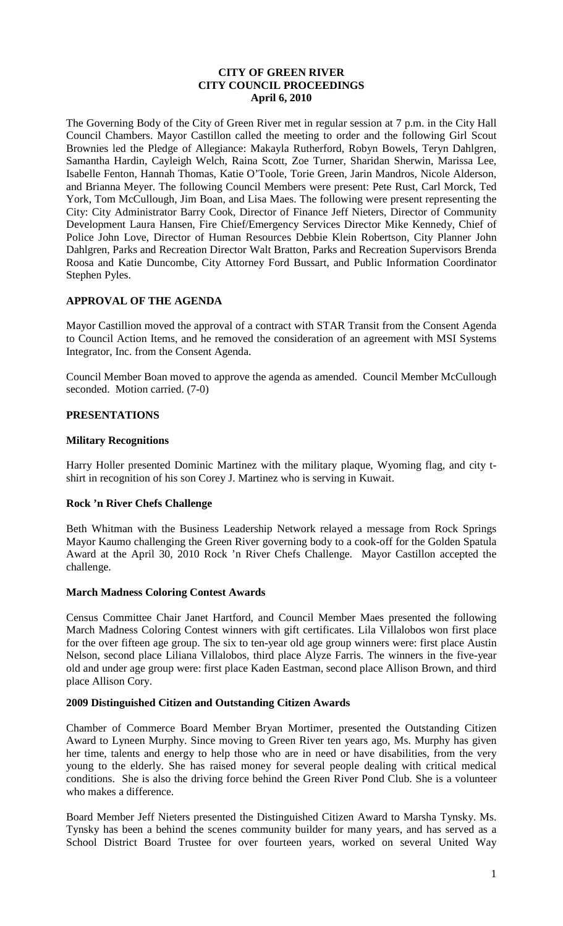## **CITY OF GREEN RIVER CITY COUNCIL PROCEEDINGS April 6, 2010**

The Governing Body of the City of Green River met in regular session at 7 p.m. in the City Hall Council Chambers. Mayor Castillon called the meeting to order and the following Girl Scout Brownies led the Pledge of Allegiance: Makayla Rutherford, Robyn Bowels, Teryn Dahlgren, Samantha Hardin, Cayleigh Welch, Raina Scott, Zoe Turner, Sharidan Sherwin, Marissa Lee, Isabelle Fenton, Hannah Thomas, Katie O'Toole, Torie Green, Jarin Mandros, Nicole Alderson, and Brianna Meyer. The following Council Members were present: Pete Rust, Carl Morck, Ted York, Tom McCullough, Jim Boan, and Lisa Maes. The following were present representing the City: City Administrator Barry Cook, Director of Finance Jeff Nieters, Director of Community Development Laura Hansen, Fire Chief/Emergency Services Director Mike Kennedy, Chief of Police John Love, Director of Human Resources Debbie Klein Robertson, City Planner John Dahlgren, Parks and Recreation Director Walt Bratton, Parks and Recreation Supervisors Brenda Roosa and Katie Duncombe, City Attorney Ford Bussart, and Public Information Coordinator Stephen Pyles.

# **APPROVAL OF THE AGENDA**

Mayor Castillion moved the approval of a contract with STAR Transit from the Consent Agenda to Council Action Items, and he removed the consideration of an agreement with MSI Systems Integrator, Inc. from the Consent Agenda.

Council Member Boan moved to approve the agenda as amended. Council Member McCullough seconded. Motion carried. (7-0)

# **PRESENTATIONS**

## **Military Recognitions**

Harry Holler presented Dominic Martinez with the military plaque, Wyoming flag, and city tshirt in recognition of his son Corey J. Martinez who is serving in Kuwait.

## **Rock 'n River Chefs Challenge**

Beth Whitman with the Business Leadership Network relayed a message from Rock Springs Mayor Kaumo challenging the Green River governing body to a cook-off for the Golden Spatula Award at the April 30, 2010 Rock 'n River Chefs Challenge. Mayor Castillon accepted the challenge.

#### **March Madness Coloring Contest Awards**

Census Committee Chair Janet Hartford, and Council Member Maes presented the following March Madness Coloring Contest winners with gift certificates. Lila Villalobos won first place for the over fifteen age group. The six to ten-year old age group winners were: first place Austin Nelson, second place Liliana Villalobos, third place Alyze Farris. The winners in the five-year old and under age group were: first place Kaden Eastman, second place Allison Brown, and third place Allison Cory.

#### **2009 Distinguished Citizen and Outstanding Citizen Awards**

Chamber of Commerce Board Member Bryan Mortimer, presented the Outstanding Citizen Award to Lyneen Murphy. Since moving to Green River ten years ago, Ms. Murphy has given her time, talents and energy to help those who are in need or have disabilities, from the very young to the elderly. She has raised money for several people dealing with critical medical conditions. She is also the driving force behind the Green River Pond Club. She is a volunteer who makes a difference.

Board Member Jeff Nieters presented the Distinguished Citizen Award to Marsha Tynsky. Ms. Tynsky has been a behind the scenes community builder for many years, and has served as a School District Board Trustee for over fourteen years, worked on several United Way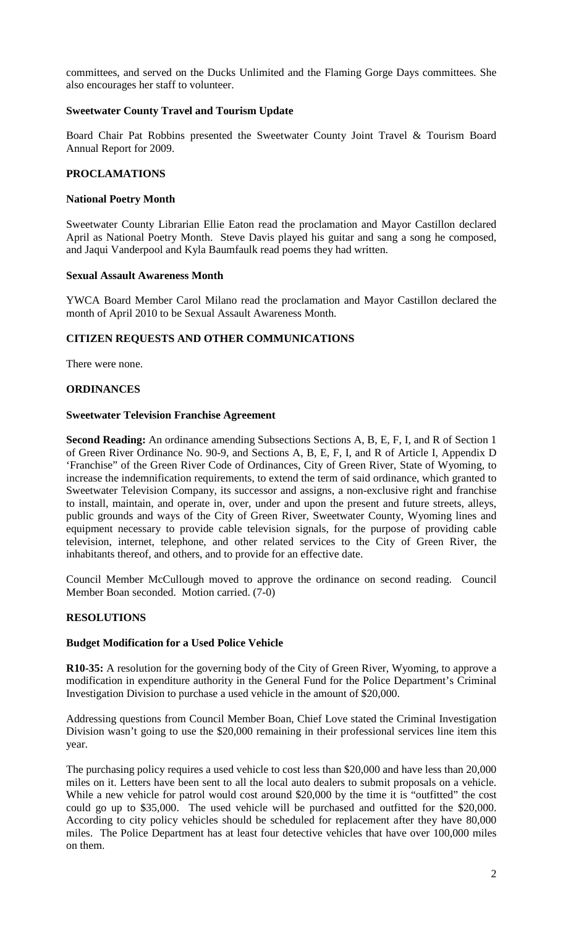committees, and served on the Ducks Unlimited and the Flaming Gorge Days committees. She also encourages her staff to volunteer.

## **Sweetwater County Travel and Tourism Update**

Board Chair Pat Robbins presented the Sweetwater County Joint Travel & Tourism Board Annual Report for 2009.

## **PROCLAMATIONS**

## **National Poetry Month**

Sweetwater County Librarian Ellie Eaton read the proclamation and Mayor Castillon declared April as National Poetry Month. Steve Davis played his guitar and sang a song he composed, and Jaqui Vanderpool and Kyla Baumfaulk read poems they had written.

## **Sexual Assault Awareness Month**

YWCA Board Member Carol Milano read the proclamation and Mayor Castillon declared the month of April 2010 to be Sexual Assault Awareness Month.

## **CITIZEN REQUESTS AND OTHER COMMUNICATIONS**

There were none.

## **ORDINANCES**

## **Sweetwater Television Franchise Agreement**

**Second Reading:** An ordinance amending Subsections Sections A, B, E, F, I, and R of Section 1 of Green River Ordinance No. 90-9, and Sections A, B, E, F, I, and R of Article I, Appendix D 'Franchise" of the Green River Code of Ordinances, City of Green River, State of Wyoming, to increase the indemnification requirements, to extend the term of said ordinance, which granted to Sweetwater Television Company, its successor and assigns, a non-exclusive right and franchise to install, maintain, and operate in, over, under and upon the present and future streets, alleys, public grounds and ways of the City of Green River, Sweetwater County, Wyoming lines and equipment necessary to provide cable television signals, for the purpose of providing cable television, internet, telephone, and other related services to the City of Green River, the inhabitants thereof, and others, and to provide for an effective date.

Council Member McCullough moved to approve the ordinance on second reading. Council Member Boan seconded. Motion carried. (7-0)

## **RESOLUTIONS**

## **Budget Modification for a Used Police Vehicle**

**R10-35:** A resolution for the governing body of the City of Green River, Wyoming, to approve a modification in expenditure authority in the General Fund for the Police Department's Criminal Investigation Division to purchase a used vehicle in the amount of \$20,000.

Addressing questions from Council Member Boan, Chief Love stated the Criminal Investigation Division wasn't going to use the \$20,000 remaining in their professional services line item this year.

The purchasing policy requires a used vehicle to cost less than \$20,000 and have less than 20,000 miles on it. Letters have been sent to all the local auto dealers to submit proposals on a vehicle. While a new vehicle for patrol would cost around \$20,000 by the time it is "outfitted" the cost could go up to \$35,000. The used vehicle will be purchased and outfitted for the \$20,000. According to city policy vehicles should be scheduled for replacement after they have 80,000 miles. The Police Department has at least four detective vehicles that have over 100,000 miles on them.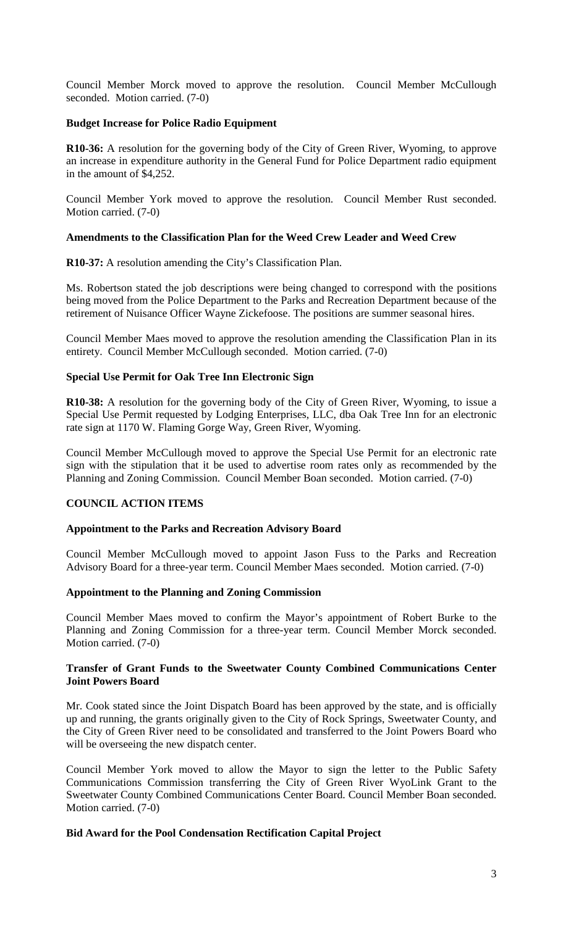Council Member Morck moved to approve the resolution. Council Member McCullough seconded. Motion carried. (7-0)

## **Budget Increase for Police Radio Equipment**

**R10-36:** A resolution for the governing body of the City of Green River, Wyoming, to approve an increase in expenditure authority in the General Fund for Police Department radio equipment in the amount of \$4,252.

Council Member York moved to approve the resolution. Council Member Rust seconded. Motion carried. (7-0)

## **Amendments to the Classification Plan for the Weed Crew Leader and Weed Crew**

**R10-37:** A resolution amending the City's Classification Plan.

Ms. Robertson stated the job descriptions were being changed to correspond with the positions being moved from the Police Department to the Parks and Recreation Department because of the retirement of Nuisance Officer Wayne Zickefoose. The positions are summer seasonal hires.

Council Member Maes moved to approve the resolution amending the Classification Plan in its entirety. Council Member McCullough seconded. Motion carried. (7-0)

## **Special Use Permit for Oak Tree Inn Electronic Sign**

**R10-38:** A resolution for the governing body of the City of Green River, Wyoming, to issue a Special Use Permit requested by Lodging Enterprises, LLC, dba Oak Tree Inn for an electronic rate sign at 1170 W. Flaming Gorge Way, Green River, Wyoming.

Council Member McCullough moved to approve the Special Use Permit for an electronic rate sign with the stipulation that it be used to advertise room rates only as recommended by the Planning and Zoning Commission. Council Member Boan seconded. Motion carried. (7-0)

## **COUNCIL ACTION ITEMS**

## **Appointment to the Parks and Recreation Advisory Board**

Council Member McCullough moved to appoint Jason Fuss to the Parks and Recreation Advisory Board for a three-year term. Council Member Maes seconded. Motion carried. (7-0)

## **Appointment to the Planning and Zoning Commission**

Council Member Maes moved to confirm the Mayor's appointment of Robert Burke to the Planning and Zoning Commission for a three-year term. Council Member Morck seconded. Motion carried. (7-0)

### **Transfer of Grant Funds to the Sweetwater County Combined Communications Center Joint Powers Board**

Mr. Cook stated since the Joint Dispatch Board has been approved by the state, and is officially up and running, the grants originally given to the City of Rock Springs, Sweetwater County, and the City of Green River need to be consolidated and transferred to the Joint Powers Board who will be overseeing the new dispatch center.

Council Member York moved to allow the Mayor to sign the letter to the Public Safety Communications Commission transferring the City of Green River WyoLink Grant to the Sweetwater County Combined Communications Center Board. Council Member Boan seconded. Motion carried. (7-0)

## **Bid Award for the Pool Condensation Rectification Capital Project**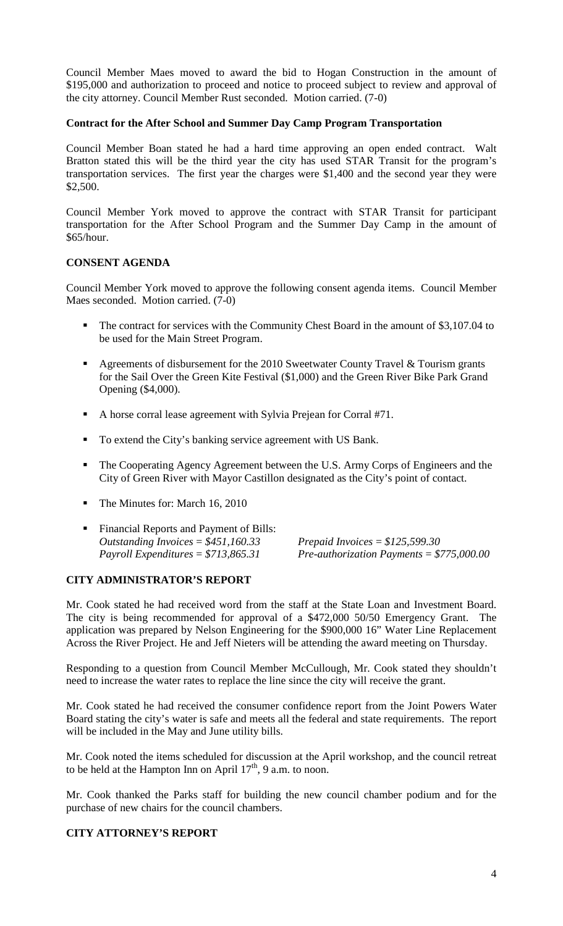Council Member Maes moved to award the bid to Hogan Construction in the amount of \$195,000 and authorization to proceed and notice to proceed subject to review and approval of the city attorney. Council Member Rust seconded. Motion carried. (7-0)

### **Contract for the After School and Summer Day Camp Program Transportation**

Council Member Boan stated he had a hard time approving an open ended contract. Walt Bratton stated this will be the third year the city has used STAR Transit for the program's transportation services. The first year the charges were \$1,400 and the second year they were \$2,500.

Council Member York moved to approve the contract with STAR Transit for participant transportation for the After School Program and the Summer Day Camp in the amount of \$65/hour.

### **CONSENT AGENDA**

Council Member York moved to approve the following consent agenda items. Council Member Maes seconded. Motion carried. (7-0)

- The contract for services with the Community Chest Board in the amount of \$3,107.04 to be used for the Main Street Program.
- Agreements of disbursement for the 2010 Sweetwater County Travel  $\&$  Tourism grants for the Sail Over the Green Kite Festival (\$1,000) and the Green River Bike Park Grand Opening (\$4,000).
- A horse corral lease agreement with Sylvia Prejean for Corral #71.
- To extend the City's banking service agreement with US Bank.
- The Cooperating Agency Agreement between the U.S. Army Corps of Engineers and the City of Green River with Mayor Castillon designated as the City's point of contact.
- The Minutes for: March 16, 2010
- Financial Reports and Payment of Bills: *Outstanding Invoices* = *\$451,160.33 Prepaid Invoices* = *\$125,599.30 Payroll Expenditures* = *\$713,865.31 Pre-authorization Payments* = *\$775,000.00*

#### **CITY ADMINISTRATOR'S REPORT**

Mr. Cook stated he had received word from the staff at the State Loan and Investment Board. The city is being recommended for approval of a \$472,000 50/50 Emergency Grant. The application was prepared by Nelson Engineering for the \$900,000 16" Water Line Replacement Across the River Project. He and Jeff Nieters will be attending the award meeting on Thursday.

Responding to a question from Council Member McCullough, Mr. Cook stated they shouldn't need to increase the water rates to replace the line since the city will receive the grant.

Mr. Cook stated he had received the consumer confidence report from the Joint Powers Water Board stating the city's water is safe and meets all the federal and state requirements. The report will be included in the May and June utility bills.

Mr. Cook noted the items scheduled for discussion at the April workshop, and the council retreat to be held at the Hampton Inn on April  $17<sup>th</sup>$ , 9 a.m. to noon.

Mr. Cook thanked the Parks staff for building the new council chamber podium and for the purchase of new chairs for the council chambers.

### **CITY ATTORNEY'S REPORT**